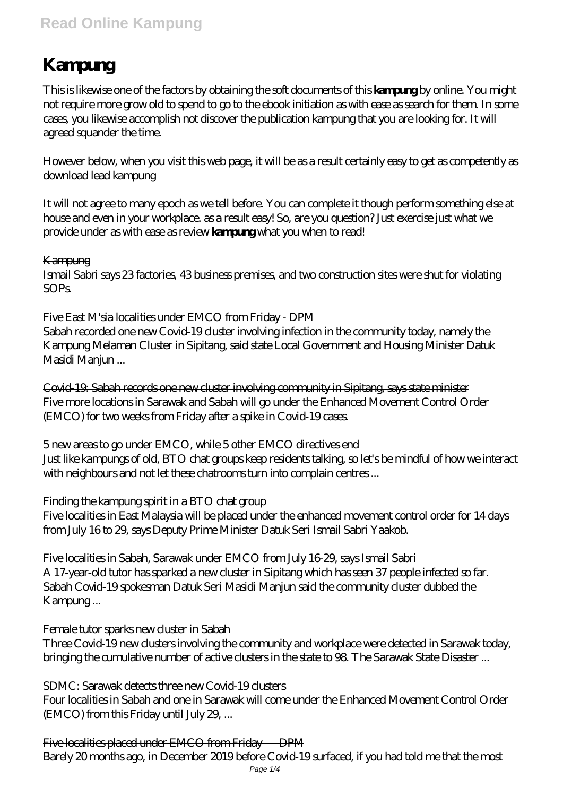# **Read Online Kampung**

# **Kampung**

This is likewise one of the factors by obtaining the soft documents of this **kampung** by online. You might not require more grow old to spend to go to the ebook initiation as with ease as search for them. In some cases, you likewise accomplish not discover the publication kampung that you are looking for. It will agreed squander the time.

However below, when you visit this web page, it will be as a result certainly easy to get as competently as download lead kampung

It will not agree to many epoch as we tell before. You can complete it though perform something else at house and even in your workplace. as a result easy! So, are you question? Just exercise just what we provide under as with ease as review **kampung** what you when to read!

#### Kampung

Ismail Sabri says 23 factories, 43 business premises, and two construction sites were shut for violating SOPs.

#### Five East M'sia localities under EMCO from Friday - DPM

Sabah recorded one new Covid-19 cluster involving infection in the community today, namely the Kampung Melaman Cluster in Sipitang, said state Local Government and Housing Minister Datuk Masidi Manjun ...

Covid-19: Sabah records one new cluster involving community in Sipitang, says state minister Five more locations in Sarawak and Sabah will go under the Enhanced Movement Control Order (EMCO) for two weeks from Friday after a spike in Covid-19 cases.

5 new areas to go under EMCO, while 5 other EMCO directives end Just like kampungs of old, BTO chat groups keep residents talking, so let's be mindful of how we interact with neighbours and not let these chatrooms turn into complain centres ...

#### Finding the kampung spirit in a BTO chat group

Five localities in East Malaysia will be placed under the enhanced movement control order for 14 days from July 16 to 29, says Deputy Prime Minister Datuk Seri Ismail Sabri Yaakob.

Five localities in Sabah, Sarawak under EMCO from July 16-29, says Ismail Sabri A 17-year-old tutor has sparked a new cluster in Sipitang which has seen 37 people infected so far. Sabah Covid-19 spokesman Datuk Seri Masidi Manjun said the community cluster dubbed the Kampung ...

#### Female tutor sparks new cluster in Sabah

Three Covid-19 new clusters involving the community and workplace were detected in Sarawak today, bringing the cumulative number of active clusters in the state to 98. The Sarawak State Disaster ...

# SDMC: Sarawak detects three new Covid-19 clusters

Four localities in Sabah and one in Sarawak will come under the Enhanced Movement Control Order (EMCO) from this Friday until July 29, ...

# Five localities placed under EMCO from Friday — DPM

Barely 20 months ago, in December 2019 before Covid-19 surfaced, if you had told me that the most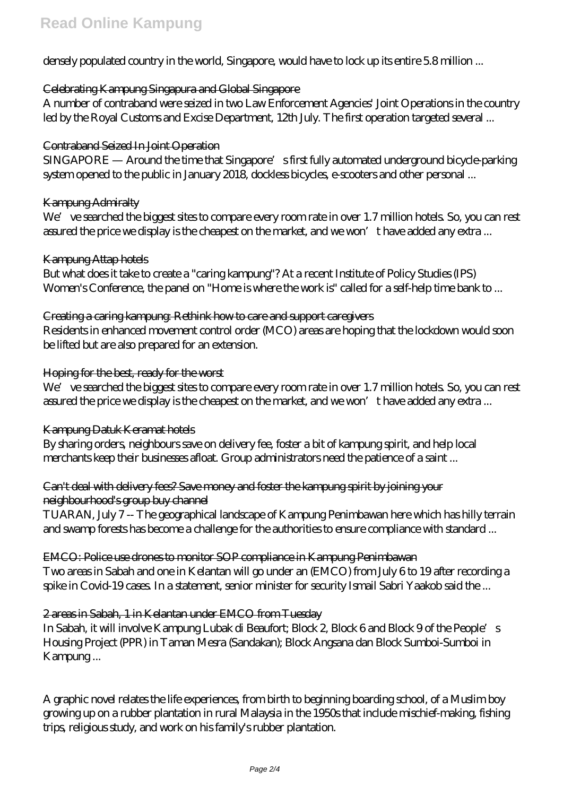densely populated country in the world, Singapore, would have to lock up its entire 5.8 million ...

# Celebrating Kampung Singapura and Global Singapore

A number of contraband were seized in two Law Enforcement Agencies' Joint Operations in the country led by the Royal Customs and Excise Department, 12th July. The first operation targeted several ...

# Contraband Seized In Joint Operation

SINGAPORE — Around the time that Singapore's first fully automated underground bicycle-parking system opened to the public in January 2018, dockless bicycles, e-scooters and other personal ...

# Kampung Admiralty

We' ve searched the biggest sites to compare every room rate in over 1.7 million hotels. So, you can rest assured the price we display is the cheapest on the market, and we won't have added any extra ...

#### Kampung Attap hotels

But what does it take to create a "caring kampung"? At a recent Institute of Policy Studies (IPS) Women's Conference, the panel on "Home is where the work is" called for a self-help time bank to ...

# Creating a caring kampung: Rethink how to care and support caregivers

Residents in enhanced movement control order (MCO) areas are hoping that the lockdown would soon be lifted but are also prepared for an extension.

# Hoping for the best, ready for the worst

We've searched the biggest sites to compare every room rate in over 1.7 million hotels. So, you can rest assured the price we display is the cheapest on the market, and we won't have added any extra ...

# Kampung Datuk Keramat hotels

By sharing orders, neighbours save on delivery fee, foster a bit of kampung spirit, and help local merchants keep their businesses afloat. Group administrators need the patience of a saint ...

#### Can't deal with delivery fees? Save money and foster the kampung spirit by joining your neighbourhood's group buy channel

TUARAN, July 7 -- The geographical landscape of Kampung Penimbawan here which has hilly terrain and swamp forests has become a challenge for the authorities to ensure compliance with standard ...

EMCO: Police use drones to monitor SOP compliance in Kampung Penimbawan Two areas in Sabah and one in Kelantan will go under an (EMCO) from July 6 to 19 after recording a spike in Covid-19 cases. In a statement, senior minister for security Ismail Sabri Yaakob said the ...

# 2 areas in Sabah, 1 in Kelantan under EMCO from Tuesday

In Sabah, it will involve Kampung Lubak di Beaufort; Block 2, Block 6 and Block 9 of the People's Housing Project (PPR) in Taman Mesra (Sandakan); Block Angsana dan Block Sumboi-Sumboi in Kampung ...

A graphic novel relates the life experiences, from birth to beginning boarding school, of a Muslim boy growing up on a rubber plantation in rural Malaysia in the 1950s that include mischief-making, fishing trips, religious study, and work on his family's rubber plantation.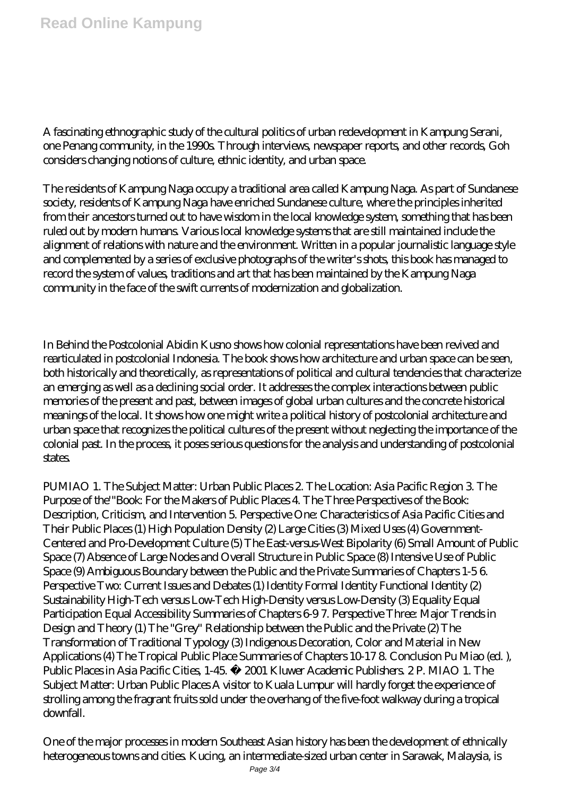A fascinating ethnographic study of the cultural politics of urban redevelopment in Kampung Serani, one Penang community, in the 1990s. Through interviews, newspaper reports, and other records, Goh considers changing notions of culture, ethnic identity, and urban space.

The residents of Kampung Naga occupy a traditional area called Kampung Naga. As part of Sundanese society, residents of Kampung Naga have enriched Sundanese culture, where the principles inherited from their ancestors turned out to have wisdom in the local knowledge system, something that has been ruled out by modern humans. Various local knowledge systems that are still maintained include the alignment of relations with nature and the environment. Written in a popular journalistic language style and complemented by a series of exclusive photographs of the writer's shots, this book has managed to record the system of values, traditions and art that has been maintained by the Kampung Naga community in the face of the swift currents of modernization and globalization.

In Behind the Postcolonial Abidin Kusno shows how colonial representations have been revived and rearticulated in postcolonial Indonesia. The book shows how architecture and urban space can be seen, both historically and theoretically, as representations of political and cultural tendencies that characterize an emerging as well as a declining social order. It addresses the complex interactions between public memories of the present and past, between images of global urban cultures and the concrete historical meanings of the local. It shows how one might write a political history of postcolonial architecture and urban space that recognizes the political cultures of the present without neglecting the importance of the colonial past. In the process, it poses serious questions for the analysis and understanding of postcolonial states.

PUMIAO 1. The Subject Matter: Urban Public Places 2. The Location: Asia Pacific Region 3. The Purpose of the'"Book: For the Makers of Public Places 4. The Three Perspectives of the Book: Description, Criticism, and Intervention 5. Perspective One: Characteristics of Asia Pacific Cities and Their Public Places (1) High Population Density (2) Large Cities (3) Mixed Uses (4) Government-Centered and Pro-Development Culture (5) The East-versus-West Bipolarity (6) Small Amount of Public Space (7) Absence of Large Nodes and Overall Structure in Public Space (8) Intensive Use of Public Space (9) Ambiguous Boundary between the Public and the Private Summaries of Chapters 1-5 6. Perspective Two: Current Issues and Debates (1) Identity Formal Identity Functional Identity (2) Sustainability High-Tech versus Low-Tech High-Density versus Low-Density (3) Equality Equal Participation Equal Accessibility Summaries of Chapters 6-9 7. Perspective Three: Major Trends in Design and Theory (1) The "Grey" Relationship between the Public and the Private (2) The Transformation of Traditional Typology (3) Indigenous Decoration, Color and Material in New Applications (4) The Tropical Public Place Summaries of Chapters 10-17 8. Conclusion Pu Miao (ed. ), Public Places in Asia Pacific Cities, 1-45. © 2001 Kluwer Academic Publishers. 2 P. MIAO 1. The Subject Matter: Urban Public Places A visitor to Kuala Lumpur will hardly forget the experience of strolling among the fragrant fruits sold under the overhang of the five-foot walkway during a tropical downfall.

One of the major processes in modern Southeast Asian history has been the development of ethnically heterogeneous towns and cities. Kucing, an intermediate-sized urban center in Sarawak, Malaysia, is